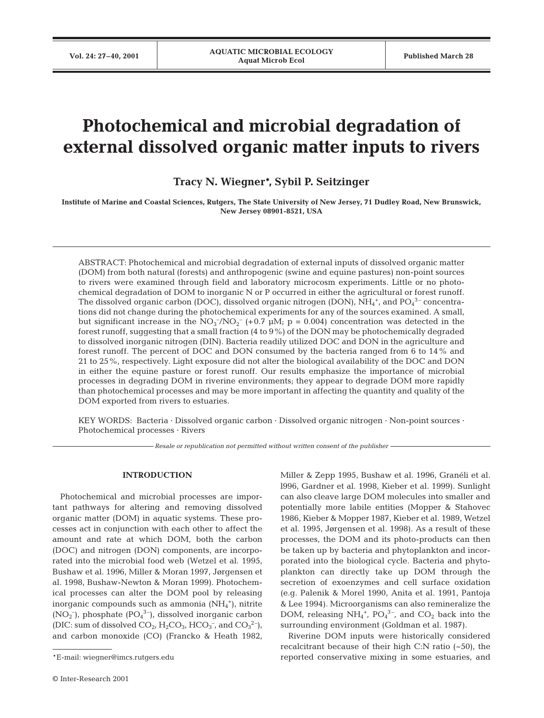# **Photochemical and microbial degradation of external dissolved organic matter inputs to rivers**

## **Tracy N. Wiegner\*, Sybil P. Seitzinger**

**Institute of Marine and Coastal Sciences, Rutgers, The State University of New Jersey, 71 Dudley Road, New Brunswick, New Jersey 08901-8521, USA**

ABSTRACT: Photochemical and microbial degradation of external inputs of dissolved organic matter (DOM) from both natural (forests) and anthropogenic (swine and equine pastures) non-point sources to rivers were examined through field and laboratory microcosm experiments. Little or no photochemical degradation of DOM to inorganic N or P occurred in either the agricultural or forest runoff. The dissolved organic carbon (DOC), dissolved organic nitrogen (DON), NH $_4^{\rm +}$ , and PO $_4^{\rm 3-}$  concentrations did not change during the photochemical experiments for any of the sources examined. A small, but significant increase in the  $NO_3^-/NO_2^-$  (+0.7 µM; p = 0.004) concentration was detected in the forest runoff, suggesting that a small fraction (4 to 9%) of the DON may be photochemically degraded to dissolved inorganic nitrogen (DIN). Bacteria readily utilized DOC and DON in the agriculture and forest runoff. The percent of DOC and DON consumed by the bacteria ranged from 6 to 14% and 21 to 25%, respectively. Light exposure did not alter the biological availability of the DOC and DON in either the equine pasture or forest runoff. Our results emphasize the importance of microbial processes in degrading DOM in riverine environments; they appear to degrade DOM more rapidly than photochemical processes and may be more important in affecting the quantity and quality of the DOM exported from rivers to estuaries.

KEY WORDS: Bacteria · Dissolved organic carbon · Dissolved organic nitrogen · Non-point sources · Photochemical processes · Rivers

*Resale or republication not permitted without written consent of the publisher*

## **INTRODUCTION**

Photochemical and microbial processes are important pathways for altering and removing dissolved organic matter (DOM) in aquatic systems. These processes act in conjunction with each other to affect the amount and rate at which DOM, both the carbon (DOC) and nitrogen (DON) components, are incorporated into the microbial food web (Wetzel et al. 1995, Bushaw et al. 1996, Miller & Moran 1997, Jørgensen et al. 1998, Bushaw-Newton & Moran 1999). Photochemical processes can alter the DOM pool by releasing inorganic compounds such as ammonia (NH<sub>4</sub><sup>+</sup>), nitrite  $(NO<sub>2</sub><sup>-</sup>)$ , phosphate  $(PO<sub>4</sub><sup>3</sup><sup>-</sup>)$ , dissolved inorganic carbon (DIC: sum of dissolved  $CO_2$ ,  $H_2CO_3$ ,  $HCO_3^-$ , and  $CO_3^2^-$ ), and carbon monoxide (CO) (Francko & Heath 1982,

Miller & Zepp 1995, Bushaw et al. 1996, Granéli et al. l996, Gardner et al. 1998, Kieber et al. 1999). Sunlight can also cleave large DOM molecules into smaller and potentially more labile entities (Mopper & Stahovec 1986, Kieber & Mopper 1987, Kieber et al. 1989, Wetzel et al. 1995, Jørgensen et al. 1998). As a result of these processes, the DOM and its photo-products can then be taken up by bacteria and phytoplankton and incorporated into the biological cycle. Bacteria and phytoplankton can directly take up DOM through the secretion of exoenzymes and cell surface oxidation (e.g. Palenik & Morel 1990, Anita et al. 1991, Pantoja & Lee 1994). Microorganisms can also remineralize the DOM, releasing NH<sub>4</sub><sup>+</sup>, PO<sub>4</sub><sup>3-</sup>, and CO<sub>2</sub> back into the surrounding environment (Goldman et al. 1987).

Riverine DOM inputs were historically considered recalcitrant because of their high C:N ratio (~50), the reported conservative mixing in some estuaries, and

<sup>\*</sup>E-mail: wiegner@imcs.rutgers.edu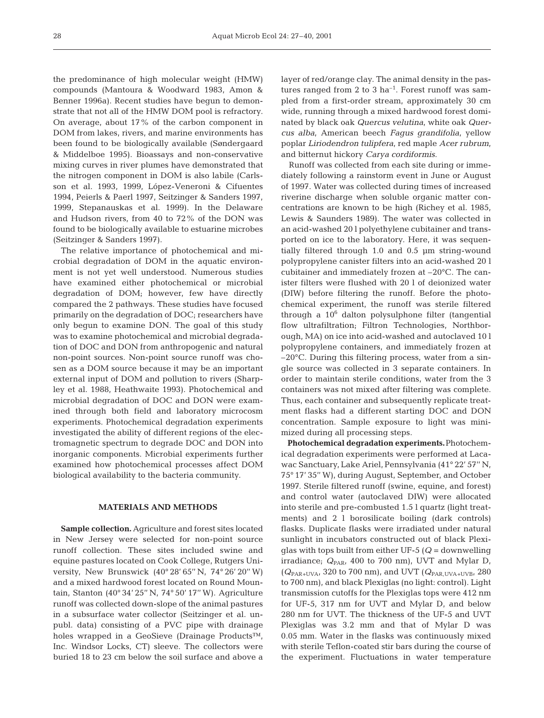the predominance of high molecular weight (HMW) compounds (Mantoura & Woodward 1983, Amon & Benner 1996a). Recent studies have begun to demonstrate that not all of the HMW DOM pool is refractory. On average, about 17% of the carbon component in DOM from lakes, rivers, and marine environments has been found to be biologically available (Søndergaard & Middelboe 1995). Bioassays and non-conservative mixing curves in river plumes have demonstrated that the nitrogen component in DOM is also labile (Carlsson et al. 1993, 1999, López-Veneroni & Cifuentes 1994, Peierls & Paerl 1997, Seitzinger & Sanders 1997, 1999, Stepanauskas et al. 1999). In the Delaware and Hudson rivers, from 40 to 72% of the DON was found to be biologically available to estuarine microbes (Seitzinger & Sanders 1997).

The relative importance of photochemical and microbial degradation of DOM in the aquatic environment is not yet well understood. Numerous studies have examined either photochemical or microbial degradation of DOM; however, few have directly compared the 2 pathways. These studies have focused primarily on the degradation of DOC; researchers have only begun to examine DON. The goal of this study was to examine photochemical and microbial degradation of DOC and DON from anthropogenic and natural non-point sources. Non-point source runoff was chosen as a DOM source because it may be an important external input of DOM and pollution to rivers (Sharpley et al. 1988, Heathwaite 1993). Photochemical and microbial degradation of DOC and DON were examined through both field and laboratory microcosm experiments. Photochemical degradation experiments investigated the ability of different regions of the electromagnetic spectrum to degrade DOC and DON into inorganic components. Microbial experiments further examined how photochemical processes affect DOM biological availability to the bacteria community.

## **MATERIALS AND METHODS**

**Sample collection.**Agriculture and forest sites located in New Jersey were selected for non-point source runoff collection. These sites included swine and equine pastures located on Cook College, Rutgers University, New Brunswick (40° 28' 65'' N, 74° 26' 20'' W) and a mixed hardwood forest located on Round Mountain, Stanton (40° 34' 25'' N, 74° 50' 17'' W). Agriculture runoff was collected down-slope of the animal pastures in a subsurface water collector (Seitzinger et al. unpubl. data) consisting of a PVC pipe with drainage holes wrapped in a GeoSieve (Drainage Products™, Inc. Windsor Locks, CT) sleeve. The collectors were buried 18 to 23 cm below the soil surface and above a

layer of red/orange clay. The animal density in the pastures ranged from 2 to 3  $ha^{-1}$ . Forest runoff was sampled from a first-order stream, approximately 30 cm wide, running through a mixed hardwood forest dominated by black oak *Quercus velutina*, white oak *Quercus alba*, American beech *Fagus grandifolia*, yellow poplar *Liriodendron tulipfera*, red maple *Acer rubrum*, and bitternut hickory *Carya cordiformis*.

Runoff was collected from each site during or immediately following a rainstorm event in June or August of 1997. Water was collected during times of increased riverine discharge when soluble organic matter concentrations are known to be high (Richey et al. 1985, Lewis & Saunders 1989). The water was collected in an acid-washed 20 l polyethylene cubitainer and transported on ice to the laboratory. Here, it was sequentially filtered through 1.0 and 0.5 µm string-wound polypropylene canister filters into an acid-washed 20 l cubitainer and immediately frozen at –20°C. The canister filters were flushed with 20 l of deionized water (DIW) before filtering the runoff. Before the photochemical experiment, the runoff was sterile filtered through a  $10^6$  dalton polysulphone filter (tangential flow ultrafiltration; Filtron Technologies, Northborough, MA) on ice into acid-washed and autoclaved 10 l polypropylene containers, and immediately frozen at –20°C. During this filtering process, water from a single source was collected in 3 separate containers. In order to maintain sterile conditions, water from the 3 containers was not mixed after filtering was complete. Thus, each container and subsequently replicate treatment flasks had a different starting DOC and DON concentration. Sample exposure to light was minimized during all processing steps.

**Photochemical degradation experiments.**Photochemical degradation experiments were performed at Lacawac Sanctuary, Lake Ariel, Pennsylvania (41° 22' 57'' N, 75° 17' 35'' W), during August, September, and October 1997. Sterile filtered runoff (swine, equine, and forest) and control water (autoclaved DIW) were allocated into sterile and pre-combusted 1.5 l quartz (light treatments) and 2 l borosilicate boiling (dark controls) flasks. Duplicate flasks were irradiated under natural sunlight in incubators constructed out of black Plexiglas with tops built from either UF-5 (*Q* = downwelling irradiance;  $Q_{\text{PAR}}$ , 400 to 700 nm), UVT and Mylar D,  $(Q_{\text{PAR+UVA}}, 320 \text{ to } 700 \text{ nm})$ , and UVT  $(Q_{\text{PAR,UVA+UVB}}, 280$ to 700 nm), and black Plexiglas (no light: control). Light transmission cutoffs for the Plexiglas tops were 412 nm for UF-5, 317 nm for UVT and Mylar D, and below 280 nm for UVT. The thickness of the UF-5 and UVT Plexiglas was 3.2 mm and that of Mylar D was 0.05 mm. Water in the flasks was continuously mixed with sterile Teflon-coated stir bars during the course of the experiment. Fluctuations in water temperature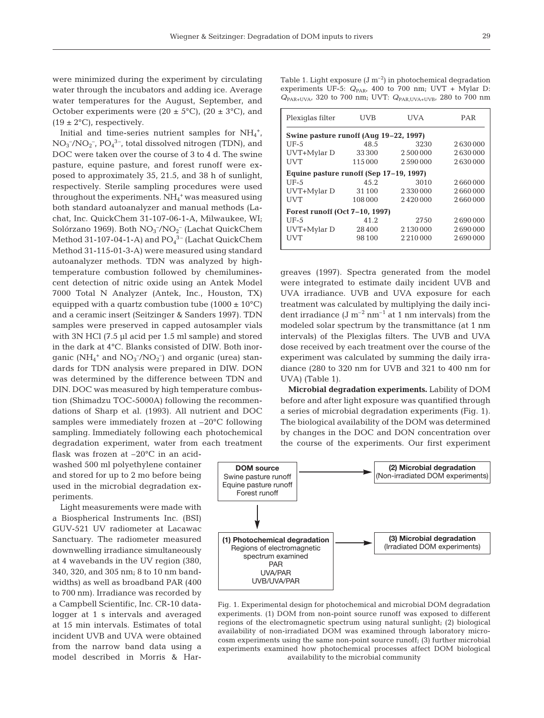were minimized during the experiment by circulating water through the incubators and adding ice. Average water temperatures for the August, September, and October experiments were  $(20 \pm 5^{\circ}C)$ ,  $(20 \pm 3^{\circ}C)$ , and  $(19 \pm 2^{\circ}C)$ , respectively.

Initial and time-series nutrient samples for  $NH_4^+$ ,  $NO<sub>3</sub><sup>-</sup>/NO<sub>2</sub><sup>-</sup>, PO<sub>4</sub><sup>3-</sup>, total dissolved nitrogen (TDN), and$ DOC were taken over the course of 3 to 4 d. The swine pasture, equine pasture, and forest runoff were exposed to approximately 35, 21.5, and 38 h of sunlight, respectively. Sterile sampling procedures were used throughout the experiments. NH<sub>4</sub><sup>+</sup> was measured using both standard autoanalyzer and manual methods (Lachat, Inc. QuickChem 31-107-06-1-A, Milwaukee, WI; Solórzano 1969). Both NO<sub>3</sub><sup>-</sup>/NO<sub>2</sub><sup>-</sup> (Lachat QuickChem Method 31-107-04-1-A) and  $\overline{\text{PO}_4}^{3-}$  (Lachat QuickChem Method 31-115-01-3-A) were measured using standard autoanalyzer methods. TDN was analyzed by hightemperature combustion followed by chemiluminescent detection of nitric oxide using an Antek Model 7000 Total N Analyzer (Antek, Inc., Houston, TX) equipped with a quartz combustion tube  $(1000 \pm 10^{\circ}C)$ and a ceramic insert (Seitzinger & Sanders 1997). TDN samples were preserved in capped autosampler vials with 3N HCl (7.5 µl acid per 1.5 ml sample) and stored in the dark at 4°C. Blanks consisted of DIW. Both inorganic (NH<sub>4</sub><sup>+</sup> and NO<sub>3</sub><sup>-</sup>/NO<sub>2</sub><sup>-</sup>) and organic (urea) standards for TDN analysis were prepared in DIW. DON was determined by the difference between TDN and DIN. DOC was measured by high temperature combustion (Shimadzu TOC-5000A) following the recommendations of Sharp et al. (1993). All nutrient and DOC samples were immediately frozen at –20°C following sampling. Immediately following each photochemical degradation experiment, water from each treatment

flask was frozen at –20°C in an acidwashed 500 ml polyethylene container and stored for up to 2 mo before being used in the microbial degradation experiments.

Light measurements were made with a Biospherical Instruments Inc. (BSI) GUV-521 UV radiometer at Lacawac Sanctuary. The radiometer measured downwelling irradiance simultaneously at 4 wavebands in the UV region (380, 340, 320, and 305 nm; 8 to 10 nm bandwidths) as well as broadband PAR (400 to 700 nm). Irradiance was recorded by a Campbell Scientific, Inc. CR-10 datalogger at 1 s intervals and averaged at 15 min intervals. Estimates of total incident UVB and UVA were obtained from the narrow band data using a model described in Morris & HarTable 1. Light exposure  $(J m^{-2})$  in photochemical degradation experiments UF-5:  $Q_{PAR}$ , 400 to 700 nm; UVT + Mylar D: *Q*PAR+UVA, 320 to 700 nm; UVT: *Q*PAR,UVA+UVB, 280 to 700 nm

| Plexiglas filter                       | UVB                                     | UVA             | PAR     |  |  |  |  |  |
|----------------------------------------|-----------------------------------------|-----------------|---------|--|--|--|--|--|
| Swine pasture runoff (Aug 19–22, 1997) |                                         |                 |         |  |  |  |  |  |
| $UF-5$                                 | 48.5                                    | 3230            | 2630000 |  |  |  |  |  |
| UVT+Mylar D                            | 33300                                   | 2.500.000       | 2630000 |  |  |  |  |  |
| <b>UVT</b>                             | 115 000                                 | 2590000         | 2630000 |  |  |  |  |  |
|                                        | Equine pasture runoff (Sep 17–19, 1997) |                 |         |  |  |  |  |  |
| UF-5                                   | 45.2                                    | 3010            | 2660000 |  |  |  |  |  |
| UVT+Mylar D                            | 31 100                                  | 2330000         | 2660000 |  |  |  |  |  |
| <b>IJVT</b>                            | 108 000                                 | 2420000         | 2660000 |  |  |  |  |  |
| Forest runoff (Oct 7-10, 1997)         |                                         |                 |         |  |  |  |  |  |
| $UF-5$                                 | 41.2                                    | 2750            | 2690000 |  |  |  |  |  |
| UVT+Mylar D                            | 28400                                   | 2 130 000       | 2690000 |  |  |  |  |  |
| UVT                                    | 98 100                                  | 2 2 1 0 0 0 0 0 | 2690000 |  |  |  |  |  |

greaves (1997). Spectra generated from the model were integrated to estimate daily incident UVB and UVA irradiance. UVB and UVA exposure for each treatment was calculated by multiplying the daily incident irradiance  $(J m^{-2} nm^{-1}$  at 1 nm intervals) from the modeled solar spectrum by the transmittance (at 1 nm intervals) of the Plexiglas filters. The UVB and UVA dose received by each treatment over the course of the experiment was calculated by summing the daily irradiance (280 to 320 nm for UVB and 321 to 400 nm for UVA) (Table 1).

**Microbial degradation experiments.** Lability of DOM before and after light exposure was quantified through a series of microbial degradation experiments (Fig. 1). The biological availability of the DOM was determined by changes in the DOC and DON concentration over the course of the experiments. Our first experiment



Fig. 1. Experimental design for photochemical and microbial DOM degradation experiments. (1) DOM from non-point source runoff was exposed to different regions of the electromagnetic spectrum using natural sunlight; (2) biological availability of non-irradiated DOM was examined through laboratory microcosm experiments using the same non-point source runoff; (3) further microbial experiments examined how photochemical processes affect DOM biological availability to the microbial community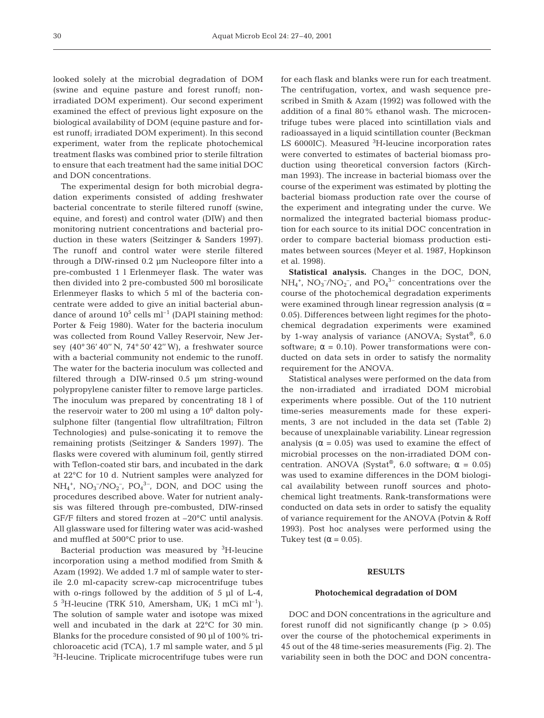looked solely at the microbial degradation of DOM (swine and equine pasture and forest runoff; nonirradiated DOM experiment). Our second experiment examined the effect of previous light exposure on the biological availability of DOM (equine pasture and forest runoff; irradiated DOM experiment). In this second experiment, water from the replicate photochemical treatment flasks was combined prior to sterile filtration to ensure that each treatment had the same initial DOC and DON concentrations.

The experimental design for both microbial degradation experiments consisted of adding freshwater bacterial concentrate to sterile filtered runoff (swine, equine, and forest) and control water (DIW) and then monitoring nutrient concentrations and bacterial production in these waters (Seitzinger & Sanders 1997). The runoff and control water were sterile filtered through a DIW-rinsed 0.2 µm Nucleopore filter into a pre-combusted 1 l Erlenmeyer flask. The water was then divided into 2 pre-combusted 500 ml borosilicate Erlenmeyer flasks to which 5 ml of the bacteria concentrate were added to give an initial bacterial abundance of around  $10^5$  cells m<sup>-1</sup> (DAPI staining method: Porter & Feig 1980). Water for the bacteria inoculum was collected from Round Valley Reservoir, New Jersey (40° 36' 40'' N, 74° 50' 42'' W), a freshwater source with a bacterial community not endemic to the runoff. The water for the bacteria inoculum was collected and filtered through a DIW-rinsed 0.5 µm string-wound polypropylene canister filter to remove large particles. The inoculum was prepared by concentrating 18 l of the reservoir water to 200 ml using a  $10<sup>6</sup>$  dalton polysulphone filter (tangential flow ultrafiltration; Filtron Technologies) and pulse-sonicating it to remove the remaining protists (Seitzinger & Sanders 1997). The flasks were covered with aluminum foil, gently stirred with Teflon-coated stir bars, and incubated in the dark at 22°C for 10 d. Nutrient samples were analyzed for  $NH_4^+$ ,  $NO_3^-/NO_2^-$ ,  $PO_4^{3-}$ , DON, and DOC using the procedures described above. Water for nutrient analysis was filtered through pre-combusted, DIW-rinsed GF/F filters and stored frozen at –20°C until analysis. All glassware used for filtering water was acid-washed and muffled at 500°C prior to use.

Bacterial production was measured by <sup>3</sup>H-leucine incorporation using a method modified from Smith & Azam (1992). We added 1.7 ml of sample water to sterile 2.0 ml-capacity screw-cap microcentrifuge tubes with o-rings followed by the addition of 5 µl of L-4,  $5\text{ }^3$ H-leucine (TRK 510, Amersham, UK; 1 mCi ml<sup>-1</sup>). The solution of sample water and isotope was mixed well and incubated in the dark at 22°C for 30 min. Blanks for the procedure consisted of 90 µl of 100% trichloroacetic acid (TCA), 1.7 ml sample water, and 5 µl <sup>3</sup>H-leucine. Triplicate microcentrifuge tubes were run

for each flask and blanks were run for each treatment. The centrifugation, vortex, and wash sequence prescribed in Smith & Azam (1992) was followed with the addition of a final 80% ethanol wash. The microcentrifuge tubes were placed into scintillation vials and radioassayed in a liquid scintillation counter (Beckman LS 6000IC). Measured <sup>3</sup>H-leucine incorporation rates were converted to estimates of bacterial biomass production using theoretical conversion factors (Kirchman 1993). The increase in bacterial biomass over the course of the experiment was estimated by plotting the bacterial biomass production rate over the course of the experiment and integrating under the curve. We normalized the integrated bacterial biomass production for each source to its initial DOC concentration in order to compare bacterial biomass production estimates between sources (Meyer et al. 1987, Hopkinson et al. 1998).

**Statistical analysis.** Changes in the DOC, DON,  $NH_4^+$ ,  $NO_3^-/NO_2^-$ , and  $PO_4^{\,3-}$  concentrations over the course of the photochemical degradation experiments were examined through linear regression analysis ( $\alpha$  = 0.05). Differences between light regimes for the photochemical degradation experiments were examined by 1-way analysis of variance (ANOVA; Systat®, 6.0) software;  $\alpha = 0.10$ ). Power transformations were conducted on data sets in order to satisfy the normality requirement for the ANOVA.

Statistical analyses were performed on the data from the non-irradiated and irradiated DOM microbial experiments where possible. Out of the 110 nutrient time-series measurements made for these experiments, 3 are not included in the data set (Table 2) because of unexplainable variability. Linear regression analysis ( $\alpha$  = 0.05) was used to examine the effect of microbial processes on the non-irradiated DOM concentration. ANOVA (Systat®, 6.0 software;  $\alpha = 0.05$ ) was used to examine differences in the DOM biological availability between runoff sources and photochemical light treatments. Rank-transformations were conducted on data sets in order to satisfy the equality of variance requirement for the ANOVA (Potvin & Roff 1993). Post hoc analyses were performed using the Tukey test ( $\alpha$  = 0.05).

## **RESULTS**

#### **Photochemical degradation of DOM**

DOC and DON concentrations in the agriculture and forest runoff did not significantly change  $(p > 0.05)$ over the course of the photochemical experiments in 45 out of the 48 time-series measurements (Fig. 2). The variability seen in both the DOC and DON concentra-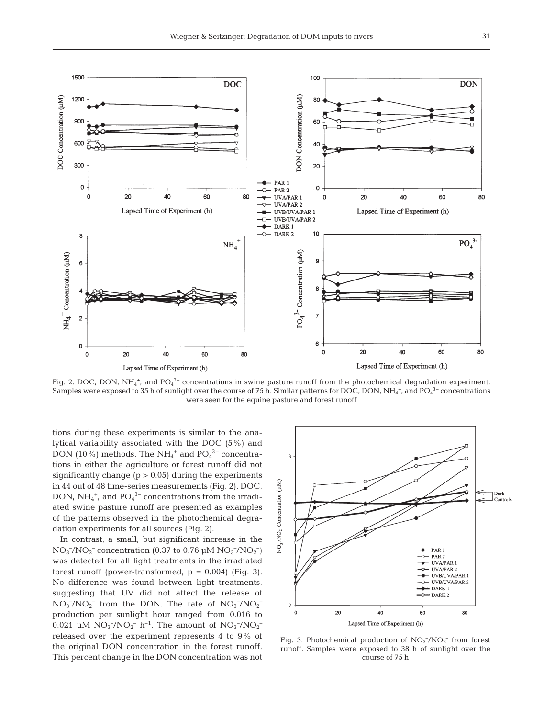

Fig. 2. DOC, DON, NH<sub>4</sub><sup>+</sup>, and PO<sub>4</sub><sup>3-</sup> concentrations in swine pasture runoff from the photochemical degradation experiment. Samples were exposed to 35 h of sunlight over the course of 75 h. Similar patterns for DOC, DON, NH $_4^{\ast,}$  and PO $_4^{\mathrm{3-}}$  concentrations were seen for the equine pasture and forest runoff

tions during these experiments is similar to the analytical variability associated with the DOC (5%) and DON (10%) methods. The NH $_4^+$  and PO $_4^{3-}$  concentrations in either the agriculture or forest runoff did not significantly change ( $p > 0.05$ ) during the experiments in 44 out of 48 time-series measurements (Fig. 2). DOC, DON,  $NH_4^+$ , and  $PO_4^{\,3-}$  concentrations from the irradiated swine pasture runoff are presented as examples of the patterns observed in the photochemical degradation experiments for all sources (Fig. 2).

In contrast, a small, but significant increase in the  $NO_3^-/NO_2^-$  concentration (0.37 to 0.76  $\mu$ M  $NO_3^-/NO_2^-$ ) was detected for all light treatments in the irradiated forest runoff (power-transformed,  $p = 0.004$ ) (Fig. 3). No difference was found between light treatments, suggesting that UV did not affect the release of  $NO_3^-/NO_2^-$  from the DON. The rate of  $NO_3^-/NO_2^$ production per sunlight hour ranged from 0.016 to 0.021 µM  $NO_3^-/NO_2^-$  h<sup>-1</sup>. The amount of  $NO_3^-/NO_2^$ released over the experiment represents 4 to 9% of the original DON concentration in the forest runoff. This percent change in the DON concentration was not



Fig. 3. Photochemical production of  $NO<sub>3</sub><sup>-</sup>/NO<sub>2</sub><sup>-</sup>$  from forest runoff. Samples were exposed to 38 h of sunlight over the course of 75 h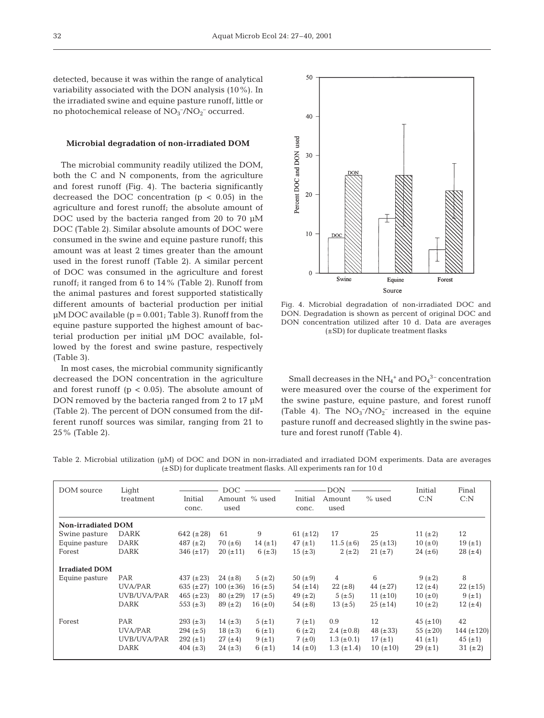detected, because it was within the range of analytical variability associated with the DON analysis (10%). In the irradiated swine and equine pasture runoff, little or no photochemical release of  $NO<sub>3</sub><sup>-</sup>/NO<sub>2</sub><sup>-</sup> occurred.$ 

#### **Microbial degradation of non-irradiated DOM**

The microbial community readily utilized the DOM, both the C and N components, from the agriculture and forest runoff (Fig. 4). The bacteria significantly decreased the DOC concentration  $(p < 0.05)$  in the agriculture and forest runoff; the absolute amount of DOC used by the bacteria ranged from 20 to 70 µM DOC (Table 2). Similar absolute amounts of DOC were consumed in the swine and equine pasture runoff; this amount was at least 2 times greater than the amount used in the forest runoff (Table 2). A similar percent of DOC was consumed in the agriculture and forest runoff; it ranged from 6 to 14% (Table 2). Runoff from the animal pastures and forest supported statistically different amounts of bacterial production per initial  $\mu$ M DOC available (p = 0.001; Table 3). Runoff from the equine pasture supported the highest amount of bacterial production per initial µM DOC available, followed by the forest and swine pasture, respectively (Table 3).

In most cases, the microbial community significantly decreased the DON concentration in the agriculture and forest runoff ( $p < 0.05$ ). The absolute amount of DON removed by the bacteria ranged from 2 to 17 µM (Table 2). The percent of DON consumed from the different runoff sources was similar, ranging from 21 to 25% (Table 2).



Fig. 4. Microbial degradation of non-irradiated DOC and DON. Degradation is shown as percent of original DOC and DON concentration utilized after 10 d. Data are averages (±SD) for duplicate treatment flasks

Small decreases in the  $\mathrm{NH}_4{}^+$  and  $\mathrm{PO_4}^{3-}$  concentration were measured over the course of the experiment for the swine pasture, equine pasture, and forest runoff (Table 4). The  $NO_3^-/NO_2^-$  increased in the equine pasture runoff and decreased slightly in the swine pasture and forest runoff (Table 4).

| DOM source                | Light<br>treatment | Initial<br>conc. | DOC<br>Amount % used<br>used |              | Initial<br>conc. | <b>DON</b><br>Amount<br>used | $%$ used      | Initial<br>C: N | Final<br>C: N   |
|---------------------------|--------------------|------------------|------------------------------|--------------|------------------|------------------------------|---------------|-----------------|-----------------|
| <b>Non-irradiated DOM</b> |                    |                  |                              |              |                  |                              |               |                 |                 |
| Swine pasture             | <b>DARK</b>        | 642 $(\pm 28)$   | 61                           | 9            | 61 $(\pm 12)$    | 17                           | 25            | 11 $(\pm 2)$    | 12              |
| Equine pasture            | <b>DARK</b>        | 487 $(\pm 2)$    | 70 ( $\pm 6$ )               | 14 $(\pm 1)$ | 47 $(\pm 1)$     | 11.5 $(\pm 6)$               | $25 (\pm 13)$ | $10 (+0)$       | 19(±1)          |
| Forest                    | <b>DARK</b>        | $346 (\pm 17)$   | $20 (\pm 11)$                | 6 $(\pm 3)$  | $15 (\pm 3)$     | $2 (+2)$                     | $21 (\pm 7)$  | 24 $(\pm 6)$    | $28 (\pm 4)$    |
| <b>Irradiated DOM</b>     |                    |                  |                              |              |                  |                              |               |                 |                 |
| Equine pasture            | <b>PAR</b>         | 437 $(\pm 23)$   | $24 (\pm 8)$                 | 5(±2)        | 50 $(\pm 9)$     | $\overline{4}$               | 6             | $9 (+ 2)$       | 8               |
|                           | UVA/PAR            | 635 $(\pm 27)$   | $100 (\pm 36)$               | $16 (\pm 5)$ | 54 $(\pm 14)$    | $22 (\pm 8)$                 | 44 $(\pm 27)$ | 12 $(\pm 4)$    | $22 (\pm 15)$   |
|                           | UVB/UVA/PAR        | 465 $(\pm 23)$   | $80 (\pm 29)$                | 17 $(\pm 5)$ | 49 $(\pm 2)$     | $5(\pm 5)$                   | 11 $(\pm 10)$ | $10 (\pm 0)$    | 9(±1)           |
|                           | <b>DARK</b>        | 553 $(\pm 3)$    | $89 (\pm 2)$                 | 16 $(\pm 0)$ | 54 $(\pm 8)$     | 13 $(\pm 5)$                 | $25 (\pm 14)$ | $10 (+2)$       | $12 (+4)$       |
| Forest                    | PAR                | $293 (\pm 3)$    | 14 $(\pm 3)$                 | 5(±1)        | $7(\pm 1)$       | 0.9                          | 12            | $45 (\pm 10)$   | 42              |
|                           | UVA/PAR            | 294 $(\pm 5)$    | $18 (\pm 3)$                 | 6 $(\pm 1)$  | $6(\pm 2)$       | 2.4 $(\pm 0.8)$              | 48 $(\pm 33)$ | 55 $(\pm 20)$   | 144 $(\pm 120)$ |
|                           | UVB/UVA/PAR        | $292 (\pm 1)$    | $27 (\pm 4)$                 | $9 (+1)$     | $7(\pm 0)$       | $1.3~(\pm 0.1)$              | 17 $(\pm 1)$  | 41 $(\pm 1)$    | $45 (\pm 1)$    |
|                           | DARK               | 404 $(\pm 3)$    | $24 (\pm 3)$                 | 6 $(\pm 1)$  | 14 $(\pm 0)$     | $1.3~(\pm 1.4)$              | $10 (+10)$    | $29 (+1)$       | 31 $(\pm 2)$    |

Table 2. Microbial utilization (µM) of DOC and DON in non-irradiated and irradiated DOM experiments. Data are averages (±SD) for duplicate treatment flasks. All experiments ran for 10 d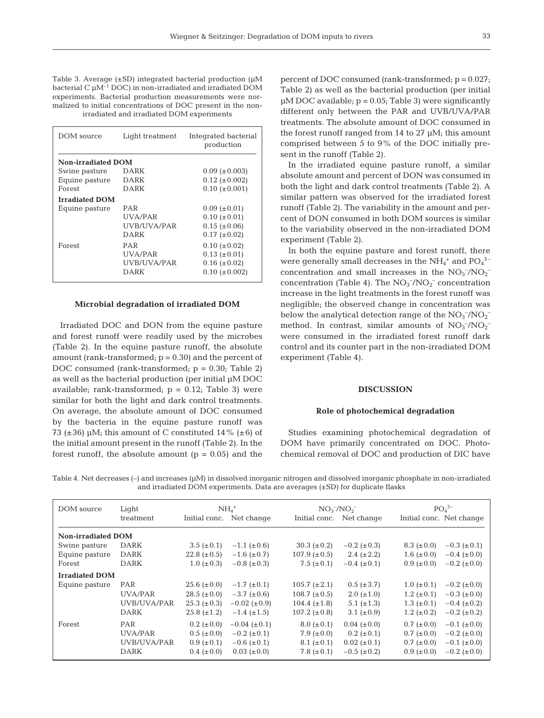Table 3. Average (±SD) integrated bacterial production (µM bacterial C µM–1 DOC) in non-irradiated and irradiated DOM experiments. Bacterial production measurements were normalized to initial concentrations of DOC present in the nonirradiated and irradiated DOM experiments

| DOM source                | Light treatment | Integrated bacterial<br>production |
|---------------------------|-----------------|------------------------------------|
| <b>Non-irradiated DOM</b> |                 |                                    |
| Swine pasture             | DARK            | $0.09~(\pm 0.003)$                 |
| Equine pasture            | DARK            | $0.12~(\pm 0.002)$                 |
| Forest                    | DARK            | $0.10~(\pm 0.001)$                 |
| <b>Irradiated DOM</b>     |                 |                                    |
| Equine pasture            | PAR             | $0.09~(\pm 0.01)$                  |
|                           | <b>IJVA/PAR</b> | $0.10~(\pm 0.01)$                  |
|                           | UVB/UVA/PAR     | $0.15 (\pm 0.06)$                  |
|                           | DARK            | $0.17 (\pm 0.02)$                  |
| Forest                    | PAR             | $0.10~(\pm 0.02)$                  |
|                           | <b>IJVA/PAR</b> | $0.13~(\pm 0.01)$                  |
|                           | UVB/UVA/PAR     | $0.16 (\pm 0.02)$                  |
|                           | DARK            | $0.10 (\pm 0.002)$                 |
|                           |                 |                                    |

## **Microbial degradation of irradiated DOM**

Irradiated DOC and DON from the equine pasture and forest runoff were readily used by the microbes (Table 2). In the equine pasture runoff, the absolute amount (rank-transformed;  $p = 0.30$ ) and the percent of DOC consumed (rank-transformed; p = 0.30; Table 2) as well as the bacterial production (per initial µM DOC available; rank-transformed;  $p = 0.12$ ; Table 3) were similar for both the light and dark control treatments. On average, the absolute amount of DOC consumed by the bacteria in the equine pasture runoff was 73 ( $\pm$ 36) µM; this amount of C constituted 14% ( $\pm$ 6) of the initial amount present in the runoff (Table 2). In the forest runoff, the absolute amount  $(p = 0.05)$  and the

percent of DOC consumed (rank-transformed; p = 0.027; Table 2) as well as the bacterial production (per initial  $\mu$ M DOC available;  $p = 0.05$ ; Table 3) were significantly different only between the PAR and UVB/UVA/PAR treatments. The absolute amount of DOC consumed in the forest runoff ranged from 14 to 27 µM; this amount comprised between 5 to 9% of the DOC initially present in the runoff (Table 2).

In the irradiated equine pasture runoff, a similar absolute amount and percent of DON was consumed in both the light and dark control treatments (Table 2). A similar pattern was observed for the irradiated forest runoff (Table 2). The variability in the amount and percent of DON consumed in both DOM sources is similar to the variability observed in the non-irradiated DOM experiment (Table 2).

In both the equine pasture and forest runoff, there were generally small decreases in the  $\mathrm{NH}_4{}^+$  and  $\mathrm{PO_4}^{3-}$ concentration and small increases in the  $NO<sub>3</sub><sup>-</sup>/NO<sub>2</sub>$ concentration (Table 4). The  $NO<sub>3</sub><sup>-</sup>/NO<sub>2</sub><sup>-</sup> concentration$ increase in the light treatments in the forest runoff was negligible; the observed change in concentration was below the analytical detection range of the  $\mathrm{NO_3^{-/}NO_2^{-}}$ method. In contrast, similar amounts of  $NO<sub>3</sub><sup>-</sup>/NO<sub>2</sub>$ were consumed in the irradiated forest runoff dark control and its counter part in the non-irradiated DOM experiment (Table 4).

### **DISCUSSION**

#### **Role of photochemical degradation**

Studies examining photochemical degradation of DOM have primarily concentrated on DOC. Photochemical removal of DOC and production of DIC have

Table 4. Net decreases (–) and increases (µM) in dissolved inorganic nitrogen and dissolved inorganic phosphate in non-irradiated and irradiated DOM experiments. Data are averages (±SD) for duplicate flasks

| DOM source                | Light       | $NH4+$           |                      | $NO_3^-/NO_2^-$   |                     | $PO4$ <sup>3-</sup>                     |  |
|---------------------------|-------------|------------------|----------------------|-------------------|---------------------|-----------------------------------------|--|
|                           | treatment   | Initial conc.    | Net change           | Initial conc.     | Net change          | Initial conc. Net change                |  |
| <b>Non-irradiated DOM</b> |             |                  |                      |                   |                     |                                         |  |
| Swine pasture             | <b>DARK</b> | $3.5 (\pm 0.1)$  | $-1.1$ ( $\pm$ 0.6)  | $30.3~(\pm 0.2)$  | $-0.2$ ( $\pm$ 0.3) | $8.3~(\pm 0.0)$<br>$-0.3$ ( $\pm$ 0.1)  |  |
| Equine pasture            | <b>DARK</b> | 22.8 $(\pm 0.5)$ | $-1.6~(\pm 0.7)$     | 107.9 $(\pm 0.5)$ | $2.4~(\pm 2.2)$     | 1.6 $(\pm 0.0)$<br>$-0.4~(\pm 0.0)$     |  |
| Forest                    | <b>DARK</b> | $1.0~(\pm 0.3)$  | $-0.8~(\pm 0.3)$     | 7.5 $(\pm 0.1)$   | $-0.4~(\pm 0.1)$    | $-0.2~(\pm 0.0)$<br>$0.9~(\pm 0.0)$     |  |
| <b>Irradiated DOM</b>     |             |                  |                      |                   |                     |                                         |  |
| Equine pasture            | <b>PAR</b>  | $25.6~(\pm 0.0)$ | $-1.7~(\pm 0.1)$     | $105.7 (\pm 2.1)$ | $0.5 (\pm 3.7)$     | $1.0~(\pm 0.1)$<br>$-0.2$ ( $\pm$ 0.0)  |  |
|                           | UVA/PAR     | $28.5 (\pm 0.0)$ | $-3.7 (\pm 0.6)$     | 108.7 $(\pm 0.5)$ | $2.0~(\pm 1.0)$     | 1.2 $(\pm 0.1)$<br>$-0.3~(\pm 0.0)$     |  |
|                           | UVB/UVA/PAR | $25.3~(\pm 0.3)$ | $-0.02$ ( $\pm$ 0.9) | 104.4 $(\pm 1.8)$ | 5.1 $(\pm 1.3)$     | $1.3~(\pm 0.1)$<br>$-0.4~(\pm 0.2)$     |  |
|                           | <b>DARK</b> | $25.8 (\pm 1.2)$ | $-1.4~(\pm 1.5)$     | 107.2 $(\pm 0.8)$ | 3.1 $(\pm 0.9)$     | 1.2 ( $\pm$ 0.2)<br>$-0.2$ ( $\pm$ 0.2) |  |
| Forest                    | PAR         | $0.2~(\pm 0.0)$  | $-0.04$ ( $\pm$ 0.1) | $8.0~(\pm 0.1)$   | $0.04~(\pm 0.0)$    | $0.7~(\pm 0.0)$<br>$-0.1$ ( $\pm 0.0$ ) |  |
|                           | UVA/PAR     | $0.5~(\pm 0.0)$  | $-0.2$ ( $\pm$ 0.1)  | 7.9 ( $\pm$ 0.0)  | $0.2~(\pm 0.1)$     | $0.7~(\pm 0.0)$<br>$-0.2$ ( $\pm 0.0$ ) |  |
|                           | UVB/UVA/PAR | $0.9~(\pm 0.1)$  | $-0.6~(\pm 0.1)$     | $8.1~(\pm 0.1)$   | $0.02~(\pm 0.1)$    | $0.7~(\pm 0.0)$<br>$-0.1$ ( $\pm$ 0.0)  |  |
|                           | <b>DARK</b> | $0.4~(\pm 0.0)$  | $0.03~(\pm 0.0)$     | 7.8 $(\pm 0.1)$   | $-0.5$ ( $\pm$ 0.2) | $-0.2~(\pm 0.0)$<br>$0.9~(\pm 0.0)$     |  |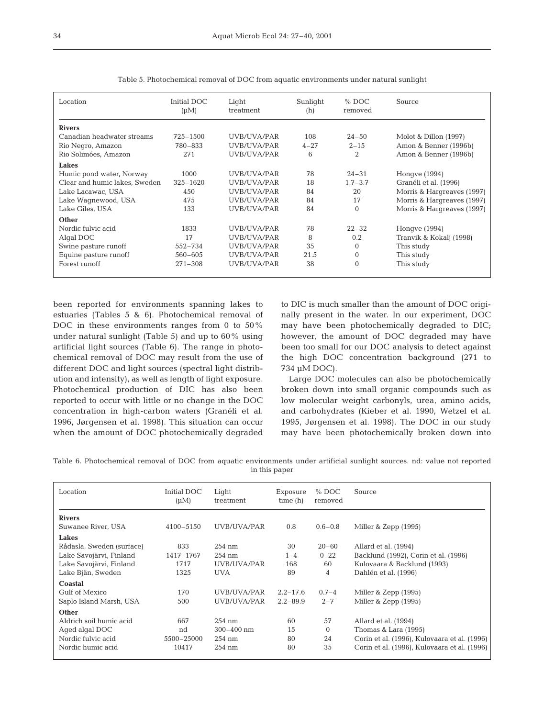| Location                      | Initial DOC<br>$(\mu M)$ | Light<br>treatment | Sunlight<br>(h) | $%$ DOC<br>removed | Source                     |
|-------------------------------|--------------------------|--------------------|-----------------|--------------------|----------------------------|
| <b>Rivers</b>                 |                          |                    |                 |                    |                            |
| Canadian headwater streams    | $725 - 1500$             | UVB/UVA/PAR        | 108             | $24 - 50$          | Molot & Dillon (1997)      |
| Rio Negro, Amazon             | 780-833                  | UVB/UVA/PAR        | $4 - 27$        | $2 - 15$           | Amon & Benner (1996b)      |
| Rio Solimóes, Amazon          | 271                      | UVB/UVA/PAR        | 6               | 2                  | Amon & Benner (1996b)      |
| Lakes                         |                          |                    |                 |                    |                            |
| Humic pond water, Norway      | 1000                     | UVB/UVA/PAR        | 78              | $24 - 31$          | Honqve (1994)              |
| Clear and humic lakes, Sweden | $325 - 1620$             | UVB/UVA/PAR        | 18              | $1.7 - 3.7$        | Granéli et al. (1996)      |
| Lake Lacawac, USA             | 450                      | UVB/UVA/PAR        | 84              | 20                 | Morris & Hargreaves (1997) |
| Lake Wagnewood, USA           | 475                      | UVB/UVA/PAR        | 84              | 17                 | Morris & Hargreaves (1997) |
| Lake Giles, USA               | 133                      | UVB/UVA/PAR        | 84              | $\Omega$           | Morris & Hargreaves (1997) |
| Other                         |                          |                    |                 |                    |                            |
| Nordic fulvic acid            | 1833                     | UVB/UVA/PAR        | 78              | $22 - 32$          | Hongve (1994)              |
| Algal DOC                     | 17                       | UVB/UVA/PAR        | 8               | 0.2                | Tranvik & Kokalj (1998)    |
| Swine pasture runoff          | 552-734                  | UVB/UVA/PAR        | 35              | $\Omega$           | This study                 |
| Equine pasture runoff         | $560 - 605$              | UVB/UVA/PAR        | 21.5            | $\Omega$           | This study                 |
| Forest runoff                 | $271 - 308$              | UVB/UVA/PAR        | 38              | $\Omega$           | This study                 |
|                               |                          |                    |                 |                    |                            |

Table 5. Photochemical removal of DOC from aquatic environments under natural sunlight

been reported for environments spanning lakes to estuaries (Tables 5 & 6). Photochemical removal of DOC in these environments ranges from 0 to 50% under natural sunlight (Table 5) and up to 60% using artificial light sources (Table 6). The range in photochemical removal of DOC may result from the use of different DOC and light sources (spectral light distribution and intensity), as well as length of light exposure. Photochemical production of DIC has also been reported to occur with little or no change in the DOC concentration in high-carbon waters (Granéli et al. 1996, Jørgensen et al. 1998). This situation can occur when the amount of DOC photochemically degraded

to DIC is much smaller than the amount of DOC originally present in the water. In our experiment, DOC may have been photochemically degraded to DIC; however, the amount of DOC degraded may have been too small for our DOC analysis to detect against the high DOC concentration background (271 to 734 µM DOC).

Large DOC molecules can also be photochemically broken down into small organic compounds such as low molecular weight carbonyls, urea, amino acids, and carbohydrates (Kieber et al. 1990, Wetzel et al. 1995, Jørgensen et al. 1998). The DOC in our study may have been photochemically broken down into

Table 6. Photochemical removal of DOC from aquatic environments under artificial sunlight sources. nd: value not reported in this paper

| Location                  | Initial DOC<br>$(\mu M)$ | Light<br>treatment | Exposure<br>time(h) | $%$ DOC<br>removed | Source                                       |
|---------------------------|--------------------------|--------------------|---------------------|--------------------|----------------------------------------------|
| <b>Rivers</b>             |                          |                    |                     |                    |                                              |
| Suwanee River, USA        | $4100 - 5150$            | UVB/UVA/PAR        | 0.8                 | $0.6 - 0.8$        | Miller & Zepp (1995)                         |
| <b>Lakes</b>              |                          |                    |                     |                    |                                              |
| Rådasla, Sweden (surface) | 833                      | $254$ nm           | 30                  | $20 - 60$          | Allard et al. (1994)                         |
| Lake Savojärvi, Finland   | 1417-1767                | $254$ nm           | $1 - 4$             | $0 - 22$           | Backlund (1992), Corin et al. (1996)         |
| Lake Savojärvi, Finland   | 1717                     | UVB/UVA/PAR        | 168                 | 60                 | Kulovaara & Backlund (1993)                  |
| Lake Bjän, Sweden         | 1325                     | <b>UVA</b>         | 89                  | 4                  | Dahlén et al. (1996)                         |
| Coastal                   |                          |                    |                     |                    |                                              |
| Gulf of Mexico            | 170                      | UVB/UVA/PAR        | $2.2 - 17.6$        | $0.7 - 4$          | Miller & Zepp (1995)                         |
| Saplo Island Marsh, USA   | 500                      | UVB/UVA/PAR        | $2.2 - 89.9$        | $2 - 7$            | Miller & Zepp (1995)                         |
| Other                     |                          |                    |                     |                    |                                              |
| Aldrich soil humic acid   | 667                      | $254$ nm           | 60                  | 57                 | Allard et al. (1994)                         |
| Aged algal DOC            | nd                       | $300 - 400$ nm     | 15                  | $\Omega$           | Thomas & Lara (1995)                         |
| Nordic fulvic acid        | 5500-25000               | $254$ nm           | 80                  | 24                 | Corin et al. (1996), Kulovaara et al. (1996) |
| Nordic humic acid         | 10417                    | $254$ nm           | 80                  | 35                 | Corin et al. (1996), Kulovaara et al. (1996) |
|                           |                          |                    |                     |                    |                                              |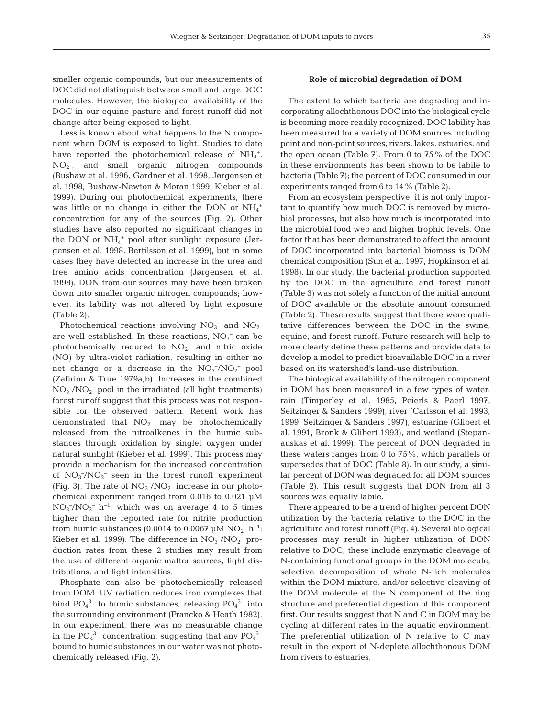smaller organic compounds, but our measurements of DOC did not distinguish between small and large DOC molecules. However, the biological availability of the DOC in our equine pasture and forest runoff did not change after being exposed to light.

Less is known about what happens to the N component when DOM is exposed to light. Studies to date have reported the photochemical release of  $NH_4^+$ , NO2 – , and small organic nitrogen compounds (Bushaw et al. 1996, Gardner et al. 1998, Jørgensen et al. 1998, Bushaw-Newton & Moran 1999, Kieber et al. 1999). During our photochemical experiments, there was little or no change in either the DON or  $NH_4^+$ concentration for any of the sources (Fig. 2). Other studies have also reported no significant changes in the DON or NH<sub>4</sub><sup>+</sup> pool after sunlight exposure (Jørgensen et al. 1998, Bertilsson et al. 1999), but in some cases they have detected an increase in the urea and free amino acids concentration (Jørgensen et al. 1998). DON from our sources may have been broken down into smaller organic nitrogen compounds; however, its lability was not altered by light exposure (Table 2).

Photochemical reactions involving  $NO_3^-$  and  $NO_2^$ are well established. In these reactions,  $NO<sub>3</sub><sup>-</sup>$  can be photochemically reduced to  $NO<sub>2</sub><sup>-</sup>$  and nitric oxide (NO) by ultra-violet radiation, resulting in either no net change or a decrease in the  $NO_3^-/NO_2^-$  pool (Zafiriou & True 1979a,b). Increases in the combined  $NO<sub>3</sub><sup>-</sup>/NO<sub>2</sub><sup>-</sup>$  pool in the irradiated (all light treatments) forest runoff suggest that this process was not responsible for the observed pattern. Recent work has demonstrated that  $NO<sub>2</sub><sup>-</sup>$  may be photochemically released from the nitroalkenes in the humic substances through oxidation by singlet oxygen under natural sunlight (Kieber et al. 1999). This process may provide a mechanism for the increased concentration of  $NO_3^-/NO_2^-$  seen in the forest runoff experiment (Fig. 3). The rate of  $NO_3^-/NO_2^-$  increase in our photochemical experiment ranged from 0.016 to 0.021 µM  $NO_3^-/NO_2^ h^{-1}$ , which was on average 4 to 5 times higher than the reported rate for nitrite production from humic substances (0.0014 to 0.0067  $\mu$ M NO<sub>2</sub><sup>-</sup> h<sup>-1</sup>: Kieber et al. 1999). The difference in  $NO<sub>3</sub><sup>-</sup>/NO<sub>2</sub><sup>-</sup>$  production rates from these 2 studies may result from the use of different organic matter sources, light distributions, and light intensities.

Phosphate can also be photochemically released from DOM. UV radiation reduces iron complexes that bind  $PO_4^{3-}$  to humic substances, releasing  $PO_4^{3-}$  into the surrounding environment (Francko & Heath 1982). In our experiment, there was no measurable change in the  $PO_4^{\,3-}$  concentration, suggesting that any  $PO_4^{\,3-}$ bound to humic substances in our water was not photochemically released (Fig. 2).

## **Role of microbial degradation of DOM**

The extent to which bacteria are degrading and incorporating allochthonous DOC into the biological cycle is becoming more readily recognized. DOC lability has been measured for a variety of DOM sources including point and non-point sources, rivers, lakes, estuaries, and the open ocean (Table 7). From 0 to 75% of the DOC in these environments has been shown to be labile to bacteria (Table 7); the percent of DOC consumed in our experiments ranged from 6 to 14% (Table 2).

From an ecosystem perspective, it is not only important to quantify how much DOC is removed by microbial processes, but also how much is incorporated into the microbial food web and higher trophic levels. One factor that has been demonstrated to affect the amount of DOC incorporated into bacterial biomass is DOM chemical composition (Sun et al. 1997, Hopkinson et al. 1998). In our study, the bacterial production supported by the DOC in the agriculture and forest runoff (Table 3) was not solely a function of the initial amount of DOC available or the absolute amount consumed (Table 2). These results suggest that there were qualitative differences between the DOC in the swine, equine, and forest runoff. Future research will help to more clearly define these patterns and provide data to develop a model to predict bioavailable DOC in a river based on its watershed's land-use distribution.

The biological availability of the nitrogen component in DOM has been measured in a few types of water: rain (Timperley et al. 1985, Peierls & Paerl 1997, Seitzinger & Sanders 1999), river (Carlsson et al. 1993, 1999, Seitzinger & Sanders 1997), estuarine (Glibert et al. 1991, Bronk & Glibert 1993), and wetland (Stepanauskas et al. 1999). The percent of DON degraded in these waters ranges from 0 to 75%, which parallels or supersedes that of DOC (Table 8). In our study, a similar percent of DON was degraded for all DOM sources (Table 2). This result suggests that DON from all 3 sources was equally labile.

There appeared to be a trend of higher percent DON utilization by the bacteria relative to the DOC in the agriculture and forest runoff (Fig. 4). Several biological processes may result in higher utilization of DON relative to DOC; these include enzymatic cleavage of N-containing functional groups in the DOM molecule, selective decomposition of whole N-rich molecules within the DOM mixture, and/or selective cleaving of the DOM molecule at the N component of the ring structure and preferential digestion of this component first. Our results suggest that N and C in DOM may be cycling at different rates in the aquatic environment. The preferential utilization of N relative to C may result in the export of N-deplete allochthonous DOM from rivers to estuaries.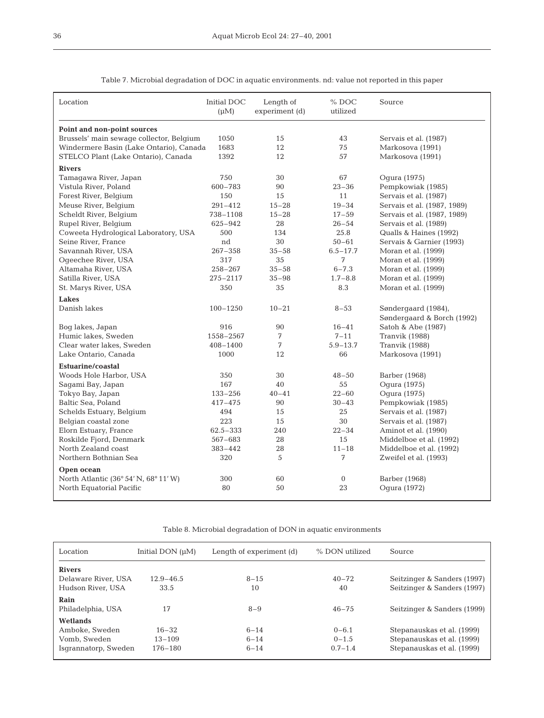| Location                                 | Initial DOC<br>$(\mu M)$ | Length of<br>experiment (d) | % DOC<br>utilized | Source                      |
|------------------------------------------|--------------------------|-----------------------------|-------------------|-----------------------------|
| Point and non-point sources              |                          |                             |                   |                             |
| Brussels' main sewage collector, Belgium | 1050                     | 15                          | 43                | Servais et al. (1987)       |
| Windermere Basin (Lake Ontario), Canada  | 1683                     | 12                          | 75                | Markosova (1991)            |
| STELCO Plant (Lake Ontario), Canada      | 1392                     | 12                          | 57                | Markosova (1991)            |
| <b>Rivers</b>                            |                          |                             |                   |                             |
| Tamagawa River, Japan                    | 750                      | 30                          | 67                | Oqura (1975)                |
| Vistula River, Poland                    | $600 - 783$              | 90                          | $23 - 36$         | Pempkowiak (1985)           |
| Forest River, Belgium                    | 150                      | 15                          | 11                | Servais et al. (1987)       |
| Meuse River, Belgium                     | $291 - 412$              | $15 - 28$                   | $19 - 34$         | Servais et al. (1987, 1989) |
| Scheldt River, Belgium                   | 738-1108                 | $15 - 28$                   | $17 - 59$         | Servais et al. (1987, 1989) |
| Rupel River, Belgium                     | 625-942                  | 28                          | $26 - 54$         | Servais et al. (1989)       |
| Coweeta Hydrological Laboratory, USA     | 500                      | 134                         | 25.8              | Qualls & Haines (1992)      |
| Seine River, France                      | nd                       | 30                          | $50 - 61$         | Servais & Garnier (1993)    |
| Savannah River, USA                      | $267 - 358$              | $35 - 58$                   | $6.5 - 17.7$      | Moran et al. (1999)         |
| Ogeechee River, USA                      | 317                      | 35                          | 7                 | Moran et al. (1999)         |
| Altamaha River, USA                      | $258 - 267$              | $35 - 58$                   | $6 - 7.3$         | Moran et al. (1999)         |
| Satilla River, USA                       | 275-2117                 | $35 - 98$                   | $1.7 - 8.8$       | Moran et al. (1999)         |
| St. Marys River, USA                     | 350                      | 35                          | 8.3               | Moran et al. (1999)         |
| <b>Lakes</b>                             |                          |                             |                   |                             |
| Danish lakes                             | $100 - 1250$             | $10 - 21$                   | $8 - 53$          | Søndergaard (1984),         |
|                                          |                          |                             |                   | Søndergaard & Borch (1992)  |
| Bog lakes, Japan                         | 916                      | 90                          | $16 - 41$         | Satoh & Abe (1987)          |
| Humic lakes, Sweden                      | 1558-2567                | 7                           | $7 - 11$          | Tranvik (1988)              |
| Clear water lakes, Sweden                | 408-1400                 | 7                           | $5.9 - 13.7$      | Tranvik (1988)              |
| Lake Ontario, Canada                     | 1000                     | 12                          | 66                | Markosova (1991)            |
| <b>Estuarine/coastal</b>                 |                          |                             |                   |                             |
| Woods Hole Harbor, USA                   | 350                      | 30                          | $48 - 50$         | Barber (1968)               |
| Saqami Bay, Japan                        | 167                      | 40                          | 55                | Oqura (1975)                |
| Tokyo Bay, Japan                         | $133 - 256$              | $40 - 41$                   | $22 - 60$         | Oqura (1975)                |
| Baltic Sea, Poland                       | $417 - 475$              | 90                          | $30 - 43$         | Pempkowiak (1985)           |
| Schelds Estuary, Belgium                 | 494                      | 15                          | 25                | Servais et al. (1987)       |
| Belgian coastal zone                     | 223                      | 15                          | 30                | Servais et al. (1987)       |
| Elorn Estuary, France                    | $62.5 - 333$             | 240                         | $22 - 34$         | Aminot et al. (1990)        |
| Roskilde Fjord, Denmark                  | 567-683                  | 28                          | 15                | Middelboe et al. (1992)     |
| North Zealand coast                      | $383 - 442$              | 28                          | $11 - 18$         | Middelboe et al. (1992)     |
| Northern Bothnian Sea                    | 320                      | 5                           | 7                 | Zweifel et al. (1993)       |
| Open ocean                               |                          |                             |                   |                             |
| North Atlantic (36° 54' N, 68° 11' W)    | 300                      | 60                          | $\mathbf{0}$      | Barber (1968)               |
| North Equatorial Pacific                 | 80                       | 50                          | 23                | Ogura (1972)                |
|                                          |                          |                             |                   |                             |

Table 7. Microbial degradation of DOC in aquatic environments. nd: value not reported in this paper

Table 8. Microbial degradation of DON in aquatic environments

| Location             | Initial DON $(\mu M)$ | Length of experiment (d) | % DON utilized | Source                      |
|----------------------|-----------------------|--------------------------|----------------|-----------------------------|
| <b>Rivers</b>        |                       |                          |                |                             |
| Delaware River, USA  | $12.9 - 46.5$         | $8 - 15$                 | $40 - 72$      | Seitzinger & Sanders (1997) |
| Hudson River, USA    | 33.5                  | 10                       | 40             | Seitzinger & Sanders (1997) |
| Rain                 |                       |                          |                |                             |
| Philadelphia, USA    | 17                    | $8 - 9$                  | $46 - 75$      | Seitzinger & Sanders (1999) |
| Wetlands             |                       |                          |                |                             |
| Amboke, Sweden       | $16 - 32$             | $6 - 14$                 | $0 - 6.1$      | Stepanauskas et al. (1999)  |
| Vomb. Sweden         | $13 - 109$            | $6 - 14$                 | $0 - 1.5$      | Stepanauskas et al. (1999)  |
| Isgrannatorp, Sweden | 176-180               | $6 - 14$                 | $0.7 - 1.4$    | Stepanauskas et al. (1999)  |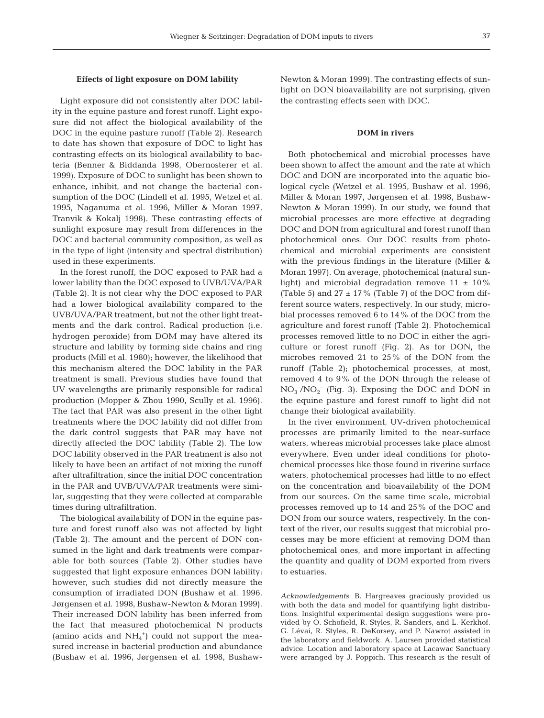## **Effects of light exposure on DOM lability**

Light exposure did not consistently alter DOC lability in the equine pasture and forest runoff. Light exposure did not affect the biological availability of the DOC in the equine pasture runoff (Table 2). Research to date has shown that exposure of DOC to light has contrasting effects on its biological availability to bacteria (Benner & Biddanda 1998, Obernosterer et al. 1999). Exposure of DOC to sunlight has been shown to enhance, inhibit, and not change the bacterial consumption of the DOC (Lindell et al. 1995, Wetzel et al. 1995, Naganuma et al. 1996, Miller & Moran 1997, Tranvik & Kokalj 1998). These contrasting effects of sunlight exposure may result from differences in the DOC and bacterial community composition, as well as in the type of light (intensity and spectral distribution) used in these experiments.

In the forest runoff, the DOC exposed to PAR had a lower lability than the DOC exposed to UVB/UVA/PAR (Table 2). It is not clear why the DOC exposed to PAR had a lower biological availability compared to the UVB/UVA/PAR treatment, but not the other light treatments and the dark control. Radical production (i.e. hydrogen peroxide) from DOM may have altered its structure and lability by forming side chains and ring products (Mill et al. 1980); however, the likelihood that this mechanism altered the DOC lability in the PAR treatment is small. Previous studies have found that UV wavelengths are primarily responsible for radical production (Mopper & Zhou 1990, Scully et al. 1996). The fact that PAR was also present in the other light treatments where the DOC lability did not differ from the dark control suggests that PAR may have not directly affected the DOC lability (Table 2). The low DOC lability observed in the PAR treatment is also not likely to have been an artifact of not mixing the runoff after ultrafiltration, since the initial DOC concentration in the PAR and UVB/UVA/PAR treatments were similar, suggesting that they were collected at comparable times during ultrafiltration.

The biological availability of DON in the equine pasture and forest runoff also was not affected by light (Table 2). The amount and the percent of DON consumed in the light and dark treatments were comparable for both sources (Table 2). Other studies have suggested that light exposure enhances DON lability; however, such studies did not directly measure the consumption of irradiated DON (Bushaw et al. 1996, Jørgensen et al. 1998, Bushaw-Newton & Moran 1999). Their increased DON lability has been inferred from the fact that measured photochemical N products (amino acids and  $NH<sub>4</sub>$ <sup>+</sup>) could not support the measured increase in bacterial production and abundance (Bushaw et al. 1996, Jørgensen et al. 1998, BushawNewton & Moran 1999). The contrasting effects of sunlight on DON bioavailability are not surprising, given the contrasting effects seen with DOC.

#### **DOM in rivers**

Both photochemical and microbial processes have been shown to affect the amount and the rate at which DOC and DON are incorporated into the aquatic biological cycle (Wetzel et al. 1995, Bushaw et al. 1996, Miller & Moran 1997, Jørgensen et al. 1998, Bushaw-Newton & Moran 1999). In our study, we found that microbial processes are more effective at degrading DOC and DON from agricultural and forest runoff than photochemical ones. Our DOC results from photochemical and microbial experiments are consistent with the previous findings in the literature (Miller & Moran 1997). On average, photochemical (natural sunlight) and microbial degradation remove  $11 \pm 10\%$ (Table 5) and  $27 \pm 17$ % (Table 7) of the DOC from different source waters, respectively. In our study, microbial processes removed 6 to 14% of the DOC from the agriculture and forest runoff (Table 2). Photochemical processes removed little to no DOC in either the agriculture or forest runoff (Fig. 2). As for DON, the microbes removed 21 to 25% of the DON from the runoff (Table 2); photochemical processes, at most, removed 4 to 9% of the DON through the release of  $NO<sub>3</sub><sup>-</sup>/NO<sub>2</sub><sup>-</sup>$  (Fig. 3). Exposing the DOC and DON in the equine pasture and forest runoff to light did not change their biological availability.

In the river environment, UV-driven photochemical processes are primarily limited to the near-surface waters, whereas microbial processes take place almost everywhere. Even under ideal conditions for photochemical processes like those found in riverine surface waters, photochemical processes had little to no effect on the concentration and bioavailability of the DOM from our sources. On the same time scale, microbial processes removed up to 14 and 25% of the DOC and DON from our source waters, respectively. In the context of the river, our results suggest that microbial processes may be more efficient at removing DOM than photochemical ones, and more important in affecting the quantity and quality of DOM exported from rivers to estuaries.

*Acknowledgements.* B. Hargreaves graciously provided us with both the data and model for quantifying light distributions. Insightful experimental design suggestions were provided by O. Schofield, R. Styles, R. Sanders, and L. Kerkhof. G. Lévai, R. Styles, R. DeKorsey, and P. Nawrot assisted in the laboratory and fieldwork. A. Laursen provided statistical advice. Location and laboratory space at Lacawac Sanctuary were arranged by J. Poppich. This research is the result of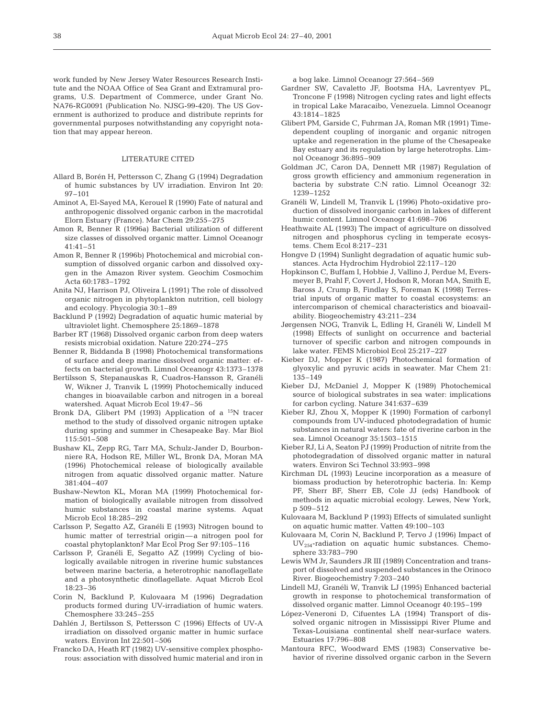work funded by New Jersey Water Resources Research Institute and the NOAA Office of Sea Grant and Extramural programs, U.S. Department of Commerce, under Grant No. NA76-RG0091 (Publication No. NJSG-99-420). The US Government is authorized to produce and distribute reprints for governmental purposes notwithstanding any copyright notation that may appear hereon.

#### LITERATURE CITED

- Allard B, Borén H, Pettersson C, Zhang G (1994) Degradation of humic substances by UV irradiation. Environ Int 20: 97–101
- Aminot A, El-Sayed MA, Kerouel R (1990) Fate of natural and anthropogenic dissolved organic carbon in the macrotidal Elorn Estuary (France). Mar Chem 29:255–275
- Amon R, Benner R (1996a) Bacterial utilization of different size classes of dissolved organic matter. Limnol Oceanogr  $41.41 - 51$
- Amon R, Benner R (1996b) Photochemical and microbial consumption of dissolved organic carbon and dissolved oxygen in the Amazon River system. Geochim Cosmochim Acta 60:1783–1792
- Anita NJ, Harrison PJ, Oliveira L (1991) The role of dissolved organic nitrogen in phytoplankton nutrition, cell biology and ecology. Phycologia 30:1–89
- Backlund P (1992) Degradation of aquatic humic material by ultraviolet light. Chemosphere 25:1869–1878
- Barber RT (1968) Dissolved organic carbon from deep waters resists microbial oxidation. Nature 220:274–275
- Benner R, Biddanda B (1998) Photochemical transformations of surface and deep marine dissolved organic matter: effects on bacterial growth. Limnol Oceanogr 43:1373–1378
- Bertilsson S, Stepanauskas R, Cuadros-Hansson R, Granéli W, Wikner J, Tranvik L (1999) Photochemically induced changes in bioavailable carbon and nitrogen in a boreal watershed. Aquat Microb Ecol 19:47–56
- Bronk DA, Glibert PM (1993) Application of a <sup>15</sup>N tracer method to the study of dissolved organic nitrogen uptake during spring and summer in Chesapeake Bay. Mar Biol 115:501–508
- Bushaw KL, Zepp RG, Tarr MA, Schulz-Jander D, Bourbonniere RA, Hodson RE, Miller WL, Bronk DA, Moran MA (1996) Photochemical release of biologically available nitrogen from aquatic dissolved organic matter. Nature 381:404–407
- Bushaw-Newton KL, Moran MA (1999) Photochemical formation of biologically available nitrogen from dissolved humic substances in coastal marine systems. Aquat Microb Ecol 18:285–292
- Carlsson P, Segatto AZ, Granéli E (1993) Nitrogen bound to humic matter of terrestrial origin—a nitrogen pool for coastal phytoplankton? Mar Ecol Prog Ser 97:105–116
- Carlsson P, Granéli E, Segatto AZ (1999) Cycling of biologically available nitrogen in riverine humic substances between marine bacteria, a heterotrophic nanoflagellate and a photosynthetic dinoflagellate. Aquat Microb Ecol 18:23–36
- Corin N, Backlund P, Kulovaara M (1996) Degradation products formed during UV-irradiation of humic waters. Chemosphere 33:245–255
- Dahlén J, Bertilsson S, Pettersson C (1996) Effects of UV-A irradiation on dissolved organic matter in humic surface waters. Environ Int 22:501–506
- Francko DA, Heath RT (1982) UV-sensitive complex phosphorous: association with dissolved humic material and iron in

a bog lake. Limnol Oceanogr 27:564–569

- Gardner SW, Cavaletto JF, Bootsma HA, Lavrentyev PL, Troncone F (1998) Nitrogen cycling rates and light effects in tropical Lake Maracaibo, Venezuela. Limnol Oceanogr 43:1814–1825
- Glibert PM, Garside C, Fuhrman JA, Roman MR (1991) Timedependent coupling of inorganic and organic nitrogen uptake and regeneration in the plume of the Chesapeake Bay estuary and its regulation by large heterotrophs. Limnol Oceanogr 36:895–909
- Goldman JC, Caron DA, Dennett MR (1987) Regulation of gross growth efficiency and ammonium regeneration in bacteria by substrate C:N ratio. Limnol Oceanogr 32: 1239–1252
- Granéli W, Lindell M, Tranvik L (1996) Photo-oxidative production of dissolved inorganic carbon in lakes of different humic content. Limnol Oceanogr 41:698–706
- Heathwaite AL (1993) The impact of agriculture on dissolved nitrogen and phosphorus cycling in temperate ecosystems. Chem Ecol 8:217–231
- Hongve D (1994) Sunlight degradation of aquatic humic substances. Acta Hydrochim Hydrobiol 22:117–120
- Hopkinson C, Buffam I, Hobbie J, Vallino J, Perdue M, Eversmeyer B, Prahl F, Covert J, Hodson R, Moran MA, Smith E, Baross J, Crump B, Findlay S, Foreman K (1998) Terrestrial inputs of organic matter to coastal ecosystems: an intercomparison of chemical characteristics and bioavailability. Biogeochemistry 43:211–234
- Jørgensen NOG, Tranvik L, Edling H, Granéli W, Lindell M (1998) Effects of sunlight on occurrence and bacterial turnover of specific carbon and nitrogen compounds in lake water. FEMS Microbiol Ecol 25:217–227
- Kieber DJ, Mopper K (1987) Photochemical formation of glyoxylic and pyruvic acids in seawater. Mar Chem 21: 135–149
- Kieber DJ, McDaniel J, Mopper K (1989) Photochemical source of biological substrates in sea water: implications for carbon cycling. Nature 341:637–639
- Kieber RJ, Zhou X, Mopper K (1990) Formation of carbonyl compounds from UV-induced photodegradation of humic substances in natural waters: fate of riverine carbon in the sea. Limnol Oceanogr 35:1503–1515
- Kieber RJ, Li A, Seaton PJ (1999) Production of nitrite from the photodegradation of dissolved organic matter in natural waters. Environ Sci Technol 33:993–998
- Kirchman DL (1993) Leucine incorporation as a measure of biomass production by heterotrophic bacteria. In: Kemp PF, Sherr BF, Sherr EB, Cole JJ (eds) Handbook of methods in aquatic microbial ecology. Lewes, New York, p 509–512
- Kulovaara M, Backlund P (1993) Effects of simulated sunlight on aquatic humic matter. Vatten 49:100–103
- Kulovaara M, Corin N, Backlund P, Tervo J (1996) Impact of UV254-radiation on aquatic humic substances. Chemosphere 33:783–790
- Lewis WM Jr, Saunders JR III (1989) Concentration and transport of dissolved and suspended substances in the Orinoco River. Biogeochemistry 7:203–240
- Lindell MJ, Granéli W, Tranvik LJ (1995) Enhanced bacterial growth in response to photochemical transformation of dissolved organic matter. Limnol Oceanogr 40:195–199
- López-Veneroni D, Cifuentes LA (1994) Transport of dissolved organic nitrogen in Mississippi River Plume and Texas-Louisiana continental shelf near-surface waters. Estuaries 17:796–808
- Mantoura RFC, Woodward EMS (1983) Conservative behavior of riverine dissolved organic carbon in the Severn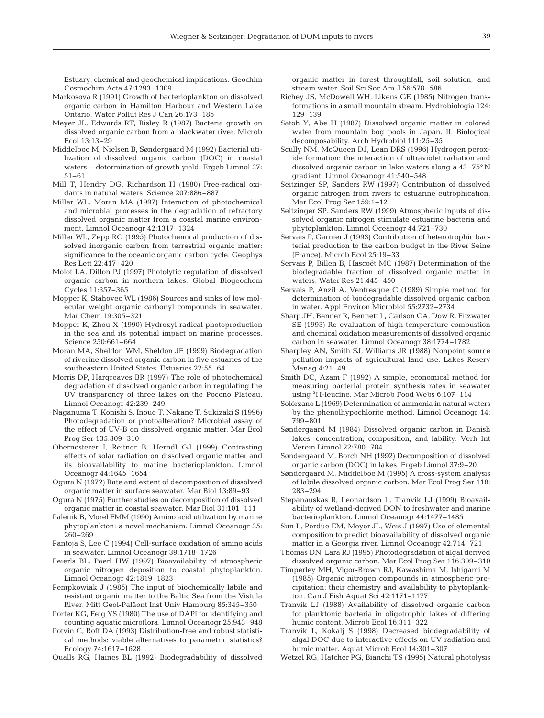Estuary: chemical and geochemical implications. Geochim Cosmochim Acta 47:1293–1309

- Markosova R (1991) Growth of bacterioplankton on dissolved organic carbon in Hamilton Harbour and Western Lake Ontario. Water Pollut Res J Can 26:173–185
- Meyer JL, Edwards RT, Risley R (1987) Bacteria growth on dissolved organic carbon from a blackwater river. Microb Ecol 13:13–29
- Middelboe M, Nielsen B, Søndergaard M (1992) Bacterial utilization of dissolved organic carbon (DOC) in coastal waters—determination of growth yield. Ergeb Limnol 37: 51–61
- Mill T, Hendry DG, Richardson H (1980) Free-radical oxidants in natural waters. Science 207:886–887
- Miller WL, Moran MA (1997) Interaction of photochemical and microbial processes in the degradation of refractory dissolved organic matter from a coastal marine environment. Limnol Oceanogr 42:1317–1324
- Miller WL, Zepp RG (1995) Photochemical production of dissolved inorganic carbon from terrestrial organic matter: significance to the oceanic organic carbon cycle. Geophys Res Lett 22:417–420
- Molot LA, Dillon PJ (1997) Photolytic regulation of dissolved organic carbon in northern lakes. Global Biogeochem Cycles 11:357–365
- Mopper K, Stahovec WL (1986) Sources and sinks of low molecular weight organic carbonyl compounds in seawater. Mar Chem 19:305–321
- Mopper K, Zhou X (1990) Hydroxyl radical photoproduction in the sea and its potential impact on marine processes. Science 250:661–664
- Moran MA, Sheldon WM, Sheldon JE (1999) Biodegradation of riverine dissolved organic carbon in five estuaries of the southeastern United States. Estuaries 22:55–64
- Morris DP, Hargreaves BR (1997) The role of photochemical degradation of dissolved organic carbon in regulating the UV transparency of three lakes on the Pocono Plateau. Limnol Oceanogr 42:239–249
- Naganuma T, Konishi S, Inoue T, Nakane T, Sukizaki S (1996) Photodegradation or photoalteration? Microbial assay of the effect of UV-B on dissolved organic matter. Mar Ecol Prog Ser 135:309–310
- Obernosterer I, Reitner B, Herndl GJ (1999) Contrasting effects of solar radiation on dissolved organic matter and its bioavailability to marine bacterioplankton. Limnol Oceanogr 44:1645–1654
- Ogura N (1972) Rate and extent of decomposition of dissolved organic matter in surface seawater. Mar Biol 13:89–93
- Ogura N (1975) Further studies on decomposition of dissolved organic matter in coastal seawater. Mar Biol 31:101–111
- Palenik B, Morel FMM (1990) Amino acid utilization by marine phytoplankton: a novel mechanism. Limnol Oceanogr 35: 260–269
- Pantoja S, Lee C (1994) Cell-surface oxidation of amino acids in seawater. Limnol Oceanogr 39:1718–1726
- Peierls BL, Paerl HW (1997) Bioavailability of atmospheric organic nitrogen deposition to coastal phytoplankton. Limnol Oceanogr 42:1819–1823
- Pempkowiak J (1985) The input of biochemically labile and resistant organic matter to the Baltic Sea from the Vistula River. Mitt Geol-Paläont Inst Univ Hamburg 85:345–350
- Porter KG, Feig YS (1980) The use of DAPI for identifying and counting aquatic microflora. Limnol Oceanogr 25:943–948
- Potvin C, Roff DA (1993) Distribution-free and robust statistical methods: viable alternatives to parametric statistics? Ecology 74:1617–1628
- Qualls RG, Haines BL (1992) Biodegradability of dissolved

organic matter in forest throughfall, soil solution, and stream water. Soil Sci Soc Am J 56:578–586

- Richey JS, McDowell WH, Likens GE (1985) Nitrogen transformations in a small mountain stream. Hydrobiologia 124: 129–139
- Satoh Y, Abe H (1987) Dissolved organic matter in colored water from mountain bog pools in Japan. II. Biological decomposability. Arch Hydrobiol 111:25–35
- Scully NM, McQueen DJ, Lean DRS (1996) Hydrogen peroxide formation: the interaction of ultraviolet radiation and dissolved organic carbon in lake waters along a 43–75° N gradient. Limnol Oceanogr 41:540–548
- Seitzinger SP, Sanders RW (1997) Contribution of dissolved organic nitrogen from rivers to estuarine eutrophication. Mar Ecol Prog Ser 159:1–12
- Seitzinger SP, Sanders RW (1999) Atmospheric inputs of dissolved organic nitrogen stimulate estuarine bacteria and phytoplankton. Limnol Oceanogr 44:721–730
- Servais P, Garnier J (1993) Contribution of heterotrophic bacterial production to the carbon budget in the River Seine (France). Microb Ecol 25:19–33
- Servais P, Billen B, Hascoët MC (1987) Determination of the biodegradable fraction of dissolved organic matter in waters. Water Res 21:445–450
- Servais P, Anzil A, Ventresque C (1989) Simple method for determination of biodegradable dissolved organic carbon in water. Appl Environ Microbiol 55:2732–2734
- Sharp JH, Benner R, Bennett L, Carlson CA, Dow R, Fitzwater SE (1993) Re-evaluation of high temperature combustion and chemical oxidation measurements of dissolved organic carbon in seawater. Limnol Oceanogr 38:1774–1782
- Sharpley AN, Smith SJ, Williams JR (1988) Nonpoint source pollution impacts of agricultural land use. Lakes Reserv Manag 4:21–49
- Smith DC, Azam F (1992) A simple, economical method for measuring bacterial protein synthesis rates in seawater using <sup>3</sup> H-leucine. Mar Microb Food Webs 6:107–114
- Solórzano L (1969) Determination of ammonia in natural waters by the phenolhypochlorite method. Limnol Oceanogr 14: 799–801
- Søndergaard M (1984) Dissolved organic carbon in Danish lakes: concentration, composition, and lability. Verh Int Verein Limnol 22:780–784
- Søndergaard M, Borch NH (1992) Decomposition of dissolved organic carbon (DOC) in lakes. Ergeb Limnol 37:9–20
- Søndergaard M, Middelboe M (1995) A cross-system analysis of labile dissolved organic carbon. Mar Ecol Prog Ser 118: 283–294
- Stepanauskas R, Leonardson L, Tranvik LJ (1999) Bioavailability of wetland-derived DON to freshwater and marine bacterioplankton. Limnol Oceanogr 44:1477–1485
- Sun L, Perdue EM, Meyer JL, Weis J (1997) Use of elemental composition to predict bioavailability of dissolved organic matter in a Georgia river. Limnol Oceanogr 42:714–721
- Thomas DN, Lara RJ (1995) Photodegradation of algal derived dissolved organic carbon. Mar Ecol Prog Ser 116:309–310
- Timperley MH, Vigor-Brown RJ, Kawashima M, Ishigami M (1985) Organic nitrogen compounds in atmospheric precipitation: their chemistry and availability to phytoplankton. Can J Fish Aquat Sci 42:1171–1177
- Tranvik LJ (1988) Availability of dissolved organic carbon for planktonic bacteria in oligotrophic lakes of differing humic content. Microb Ecol 16:311–322
- Tranvik L, Kokalj S (1998) Decreased biodegradability of algal DOC due to interactive effects on UV radiation and humic matter. Aquat Microb Ecol 14:301–307
- Wetzel RG, Hatcher PG, Bianchi TS (1995) Natural photolysis